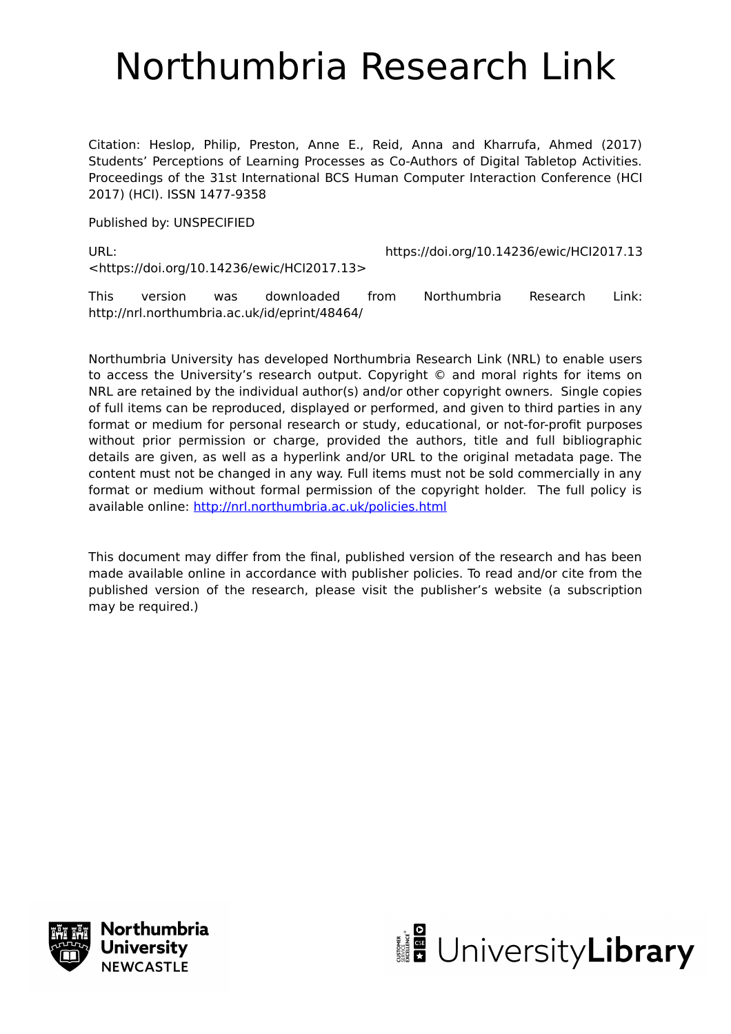# Northumbria Research Link

Citation: Heslop, Philip, Preston, Anne E., Reid, Anna and Kharrufa, Ahmed (2017) Students' Perceptions of Learning Processes as Co-Authors of Digital Tabletop Activities. Proceedings of the 31st International BCS Human Computer Interaction Conference (HCI 2017) (HCI). ISSN 1477-9358

Published by: UNSPECIFIED

URL: https://doi.org/10.14236/ewic/HCI2017.13 <https://doi.org/10.14236/ewic/HCI2017.13>

This version was downloaded from Northumbria Research Link: http://nrl.northumbria.ac.uk/id/eprint/48464/

Northumbria University has developed Northumbria Research Link (NRL) to enable users to access the University's research output. Copyright © and moral rights for items on NRL are retained by the individual author(s) and/or other copyright owners. Single copies of full items can be reproduced, displayed or performed, and given to third parties in any format or medium for personal research or study, educational, or not-for-profit purposes without prior permission or charge, provided the authors, title and full bibliographic details are given, as well as a hyperlink and/or URL to the original metadata page. The content must not be changed in any way. Full items must not be sold commercially in any format or medium without formal permission of the copyright holder. The full policy is available online:<http://nrl.northumbria.ac.uk/policies.html>

This document may differ from the final, published version of the research and has been made available online in accordance with publisher policies. To read and/or cite from the published version of the research, please visit the publisher's website (a subscription may be required.)



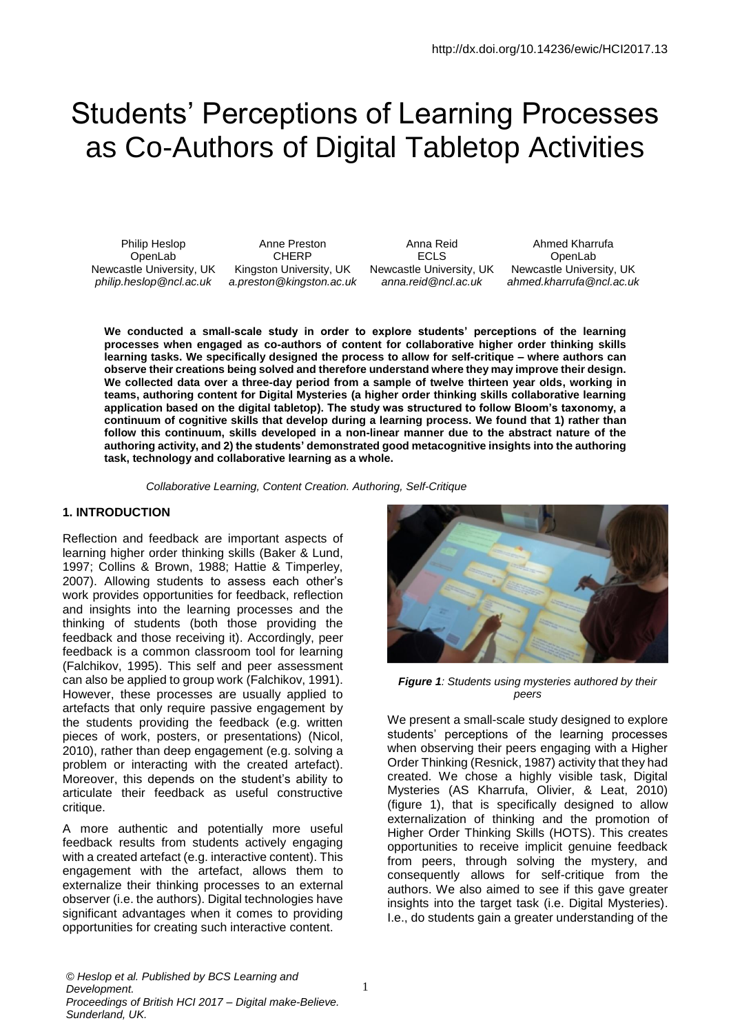# Students' Perceptions of Learning Processes as Co-Authors of Digital Tabletop Activities

Newcastle University, UK Kingston University, UK Newcastle University, UK Newcastle University, UK

Philip Heslop **Anne Preston** Anna Reid Ahmed Kharrufa OpenLab CHERP ECLS OpenLab *philip.heslop@ncl.ac.uk a.preston@kingston.ac.uk anna.reid@ncl.ac.uk ahmed.kharrufa@ncl.ac.uk*

**We conducted a small-scale study in order to explore students' perceptions of the learning processes when engaged as co-authors of content for collaborative higher order thinking skills learning tasks. We specifically designed the process to allow for self-critique – where authors can observe their creations being solved and therefore understand where they may improve their design. We collected data over a three-day period from a sample of twelve thirteen year olds, working in teams, authoring content for Digital Mysteries (a higher order thinking skills collaborative learning application based on the digital tabletop). The study was structured to follow Bloom's taxonomy, a continuum of cognitive skills that develop during a learning process. We found that 1) rather than follow this continuum, skills developed in a non-linear manner due to the abstract nature of the authoring activity, and 2) the students' demonstrated good metacognitive insights into the authoring task, technology and collaborative learning as a whole.**

*Collaborative Learning, Content Creation. Authoring, Self-Critique*

#### **1. INTRODUCTION**

Reflection and feedback are important aspects of learning higher order thinking skills (Baker & Lund, 1997; Collins & Brown, 1988; Hattie & Timperley, 2007). Allowing students to assess each other's work provides opportunities for feedback, reflection and insights into the learning processes and the thinking of students (both those providing the feedback and those receiving it). Accordingly, peer feedback is a common classroom tool for learning (Falchikov, 1995). This self and peer assessment can also be applied to group work (Falchikov, 1991). However, these processes are usually applied to artefacts that only require passive engagement by the students providing the feedback (e.g. written pieces of work, posters, or presentations) (Nicol, 2010), rather than deep engagement (e.g. solving a problem or interacting with the created artefact). Moreover, this depends on the student's ability to articulate their feedback as useful constructive critique.

A more authentic and potentially more useful feedback results from students actively engaging with a created artefact (e.g. interactive content). This engagement with the artefact, allows them to externalize their thinking processes to an external observer (i.e. the authors). Digital technologies have significant advantages when it comes to providing opportunities for creating such interactive content.



*Figure 1: Students using mysteries authored by their peers*

We present a small-scale study designed to explore students' perceptions of the learning processes when observing their peers engaging with a Higher Order Thinking (Resnick, 1987) activity that they had created. We chose a highly visible task, Digital Mysteries (AS Kharrufa, Olivier, & Leat, 2010) (figure 1), that is specifically designed to allow externalization of thinking and the promotion of Higher Order Thinking Skills (HOTS). This creates opportunities to receive implicit genuine feedback from peers, through solving the mystery, and consequently allows for self-critique from the authors. We also aimed to see if this gave greater insights into the target task (i.e. Digital Mysteries). I.e., do students gain a greater understanding of the

*© Heslop et al. Published by BCS Learning and Development. Proceedings of British HCI 2017 – Digital make-Believe. Sunderland, UK.*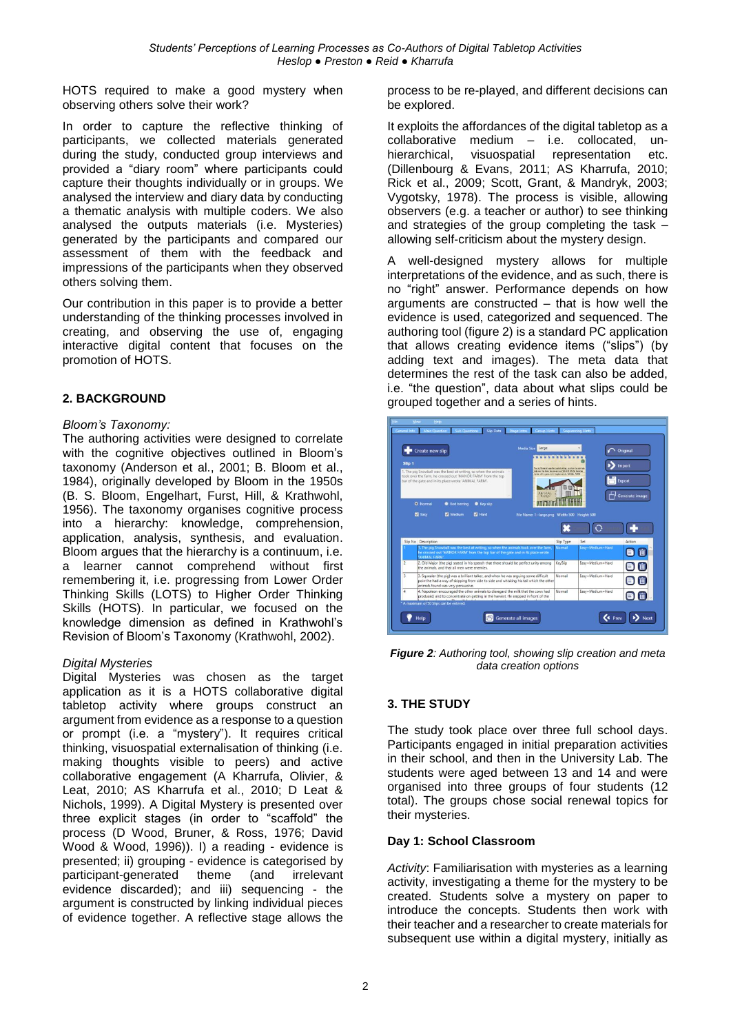HOTS required to make a good mystery when observing others solve their work?

In order to capture the reflective thinking of participants, we collected materials generated during the study, conducted group interviews and provided a "diary room" where participants could capture their thoughts individually or in groups. We analysed the interview and diary data by conducting a thematic analysis with multiple coders. We also analysed the outputs materials (i.e. Mysteries) generated by the participants and compared our assessment of them with the feedback and impressions of the participants when they observed others solving them.

Our contribution in this paper is to provide a better understanding of the thinking processes involved in creating, and observing the use of, engaging interactive digital content that focuses on the promotion of HOTS.

# **2. BACKGROUND**

### *Bloom's Taxonomy:*

The authoring activities were designed to correlate with the cognitive objectives outlined in Bloom's taxonomy (Anderson et al., 2001; B. Bloom et al., 1984), originally developed by Bloom in the 1950s (B. S. Bloom, Engelhart, Furst, Hill, & Krathwohl, 1956). The taxonomy organises cognitive process into a hierarchy: knowledge, comprehension, application, analysis, synthesis, and evaluation. Bloom argues that the hierarchy is a continuum, i.e. a learner cannot comprehend without first remembering it, i.e. progressing from Lower Order Thinking Skills (LOTS) to Higher Order Thinking Skills (HOTS). In particular, we focused on the knowledge dimension as defined in Krathwohl's Revision of Bloom's Taxonomy (Krathwohl, 2002).

#### *Digital Mysteries*

Digital Mysteries was chosen as the target application as it is a HOTS collaborative digital tabletop activity where groups construct an argument from evidence as a response to a question or prompt (i.e. a "mystery"). It requires critical thinking, visuospatial externalisation of thinking (i.e. making thoughts visible to peers) and active collaborative engagement (A Kharrufa, Olivier, & Leat, 2010; AS Kharrufa et al., 2010; D Leat & Nichols, 1999). A Digital Mystery is presented over three explicit stages (in order to "scaffold" the process (D Wood, Bruner, & Ross, 1976; David Wood & Wood, 1996)). I) a reading - evidence is presented; ii) grouping - evidence is categorised by participant-generated theme (and irrelevant evidence discarded); and iii) sequencing - the argument is constructed by linking individual pieces of evidence together. A reflective stage allows the process to be re-played, and different decisions can be explored.

It exploits the affordances of the digital tabletop as a collaborative medium – i.e. collocated, unhierarchical, visuospatial representation etc. (Dillenbourg & Evans, 2011; AS Kharrufa, 2010; Rick et al., 2009; Scott, Grant, & Mandryk, 2003; Vygotsky, 1978). The process is visible, allowing observers (e.g. a teacher or author) to see thinking and strategies of the group completing the task – allowing self-criticism about the mystery design.

A well-designed mystery allows for multiple interpretations of the evidence, and as such, there is no "right" answer. Performance depends on how arguments are constructed – that is how well the evidence is used, categorized and sequenced. The authoring tool (figure 2) is a standard PC application that allows creating evidence items ("slips") (by adding text and images). The meta data that determines the rest of the task can also be added, i.e. "the question", data about what slips could be grouped together and a series of hints.



*Figure 2: Authoring tool, showing slip creation and meta data creation options*

# **3. THE STUDY**

The study took place over three full school days. Participants engaged in initial preparation activities in their school, and then in the University Lab. The students were aged between 13 and 14 and were organised into three groups of four students (12 total). The groups chose social renewal topics for their mysteries.

#### **Day 1: School Classroom**

*Activity*: Familiarisation with mysteries as a learning activity, investigating a theme for the mystery to be created. Students solve a mystery on paper to introduce the concepts. Students then work with their teacher and a researcher to create materials for subsequent use within a digital mystery, initially as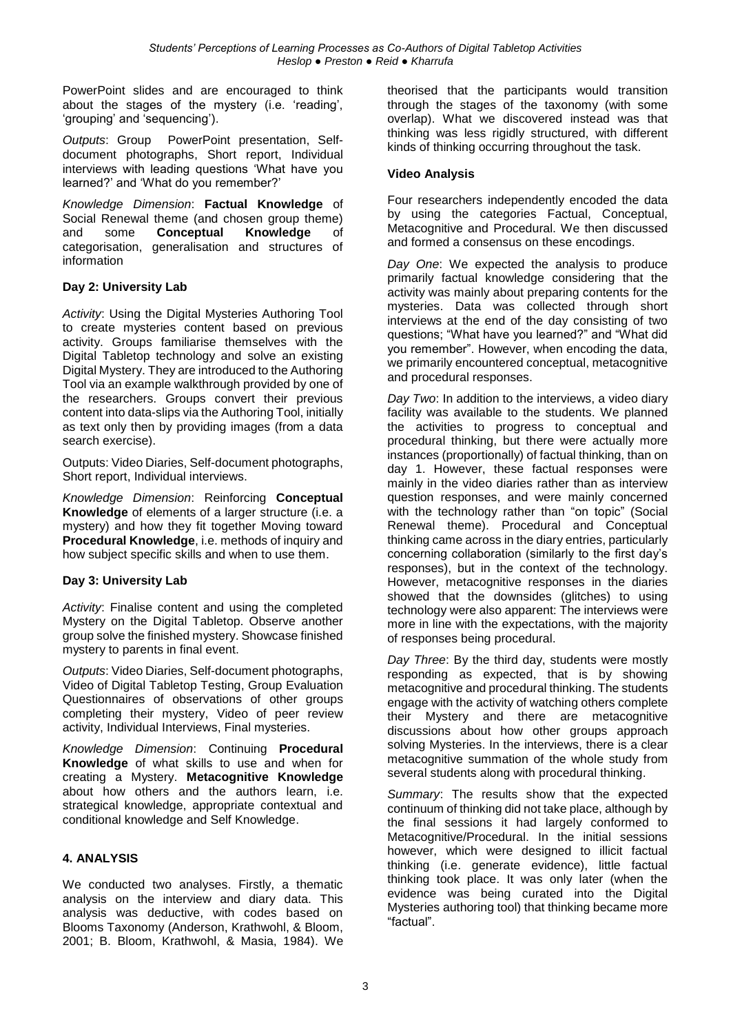PowerPoint slides and are encouraged to think about the stages of the mystery (i.e. 'reading', 'grouping' and 'sequencing').

*Outputs*: Group PowerPoint presentation, Selfdocument photographs, Short report, Individual interviews with leading questions 'What have you learned?' and 'What do you remember?'

*Knowledge Dimension*: **Factual Knowledge** of Social Renewal theme (and chosen group theme) and some **Conceptual Knowledge** of categorisation, generalisation and structures of information

# **Day 2: University Lab**

*Activity*: Using the Digital Mysteries Authoring Tool to create mysteries content based on previous activity. Groups familiarise themselves with the Digital Tabletop technology and solve an existing Digital Mystery. They are introduced to the Authoring Tool via an example walkthrough provided by one of the researchers. Groups convert their previous content into data-slips via the Authoring Tool, initially as text only then by providing images (from a data search exercise).

Outputs: Video Diaries, Self-document photographs, Short report, Individual interviews.

*Knowledge Dimension*: Reinforcing **Conceptual Knowledge** of elements of a larger structure (i.e. a mystery) and how they fit together Moving toward **Procedural Knowledge**, i.e. methods of inquiry and how subject specific skills and when to use them.

#### **Day 3: University Lab**

*Activity*: Finalise content and using the completed Mystery on the Digital Tabletop. Observe another group solve the finished mystery. Showcase finished mystery to parents in final event.

*Outputs*: Video Diaries, Self-document photographs, Video of Digital Tabletop Testing, Group Evaluation Questionnaires of observations of other groups completing their mystery, Video of peer review activity, Individual Interviews, Final mysteries.

*Knowledge Dimension*: Continuing **Procedural Knowledge** of what skills to use and when for creating a Mystery. **Metacognitive Knowledge** about how others and the authors learn, i.e. strategical knowledge, appropriate contextual and conditional knowledge and Self Knowledge.

#### **4. ANALYSIS**

We conducted two analyses. Firstly, a thematic analysis on the interview and diary data. This analysis was deductive, with codes based on Blooms Taxonomy (Anderson, Krathwohl, & Bloom, 2001; B. Bloom, Krathwohl, & Masia, 1984). We

theorised that the participants would transition through the stages of the taxonomy (with some overlap). What we discovered instead was that thinking was less rigidly structured, with different kinds of thinking occurring throughout the task.

#### **Video Analysis**

Four researchers independently encoded the data by using the categories Factual, Conceptual, Metacognitive and Procedural. We then discussed and formed a consensus on these encodings.

*Day One*: We expected the analysis to produce primarily factual knowledge considering that the activity was mainly about preparing contents for the mysteries. Data was collected through short interviews at the end of the day consisting of two questions; "What have you learned?" and "What did you remember". However, when encoding the data, we primarily encountered conceptual, metacognitive and procedural responses.

*Day Two*: In addition to the interviews, a video diary facility was available to the students. We planned the activities to progress to conceptual and procedural thinking, but there were actually more instances (proportionally) of factual thinking, than on day 1. However, these factual responses were mainly in the video diaries rather than as interview question responses, and were mainly concerned with the technology rather than "on topic" (Social Renewal theme). Procedural and Conceptual thinking came across in the diary entries, particularly concerning collaboration (similarly to the first day's responses), but in the context of the technology. However, metacognitive responses in the diaries showed that the downsides (glitches) to using technology were also apparent: The interviews were more in line with the expectations, with the majority of responses being procedural.

*Day Three*: By the third day, students were mostly responding as expected, that is by showing metacognitive and procedural thinking. The students engage with the activity of watching others complete their Mystery and there are metacognitive discussions about how other groups approach solving Mysteries. In the interviews, there is a clear metacognitive summation of the whole study from several students along with procedural thinking.

*Summary*: The results show that the expected continuum of thinking did not take place, although by the final sessions it had largely conformed to Metacognitive/Procedural. In the initial sessions however, which were designed to illicit factual thinking (i.e. generate evidence), little factual thinking took place. It was only later (when the evidence was being curated into the Digital Mysteries authoring tool) that thinking became more "factual".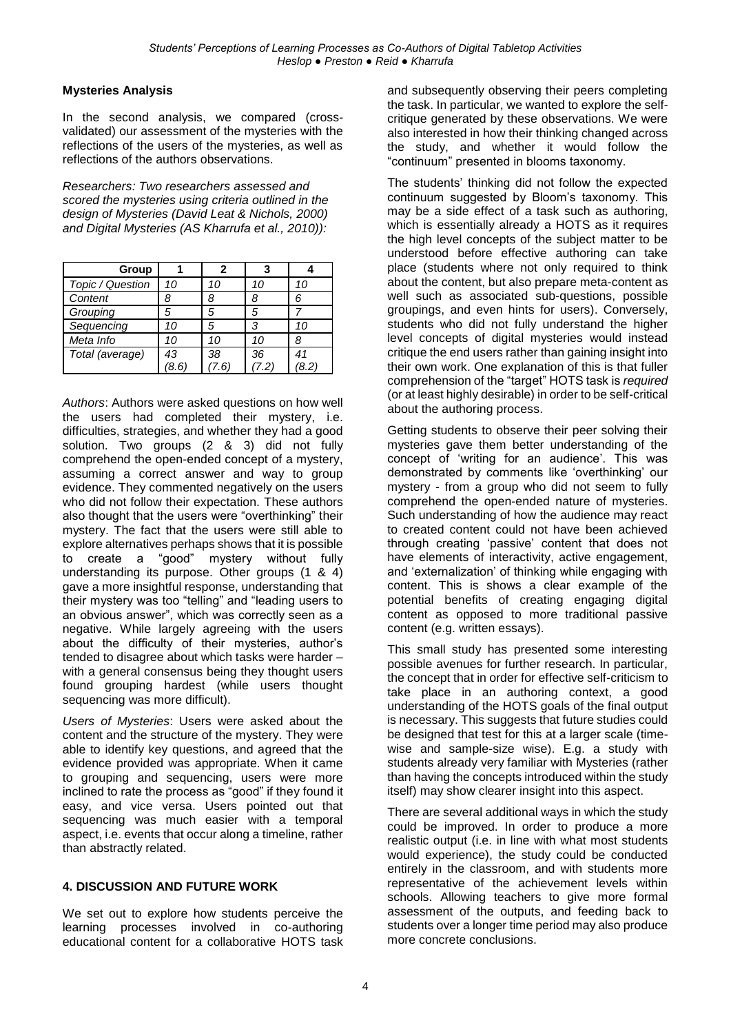# **Mysteries Analysis**

In the second analysis, we compared (crossvalidated) our assessment of the mysteries with the reflections of the users of the mysteries, as well as reflections of the authors observations.

*Researchers: Two researchers assessed and scored the mysteries using criteria outlined in the design of Mysteries (David Leat & Nichols, 2000) and Digital Mysteries (AS Kharrufa et al., 2010)):*

| Group            |      | 2   | 3   |      |
|------------------|------|-----|-----|------|
| Topic / Question | 10   | 10  | 10  | 10   |
| Content          | 8    | 8   | 8   | ุ่ ค |
| Grouping         | 5    | 5   |     |      |
| Sequencing       | 10   | 5   | 3   | 10   |
| Meta Info        | 10   | 10  | 10  |      |
| Total (average)  | 43   | 38  | 36  | 41   |
|                  | 8.6. | .6' | 7.2 | 8.21 |

*Authors*: Authors were asked questions on how well the users had completed their mystery, i.e. difficulties, strategies, and whether they had a good solution. Two groups (2 & 3) did not fully comprehend the open-ended concept of a mystery, assuming a correct answer and way to group evidence. They commented negatively on the users who did not follow their expectation. These authors also thought that the users were "overthinking" their mystery. The fact that the users were still able to explore alternatives perhaps shows that it is possible to create a "good" mystery without fully understanding its purpose. Other groups (1 & 4) gave a more insightful response, understanding that their mystery was too "telling" and "leading users to an obvious answer", which was correctly seen as a negative. While largely agreeing with the users about the difficulty of their mysteries, author's tended to disagree about which tasks were harder – with a general consensus being they thought users found grouping hardest (while users thought sequencing was more difficult).

*Users of Mysteries*: Users were asked about the content and the structure of the mystery. They were able to identify key questions, and agreed that the evidence provided was appropriate. When it came to grouping and sequencing, users were more inclined to rate the process as "good" if they found it easy, and vice versa. Users pointed out that sequencing was much easier with a temporal aspect, i.e. events that occur along a timeline, rather than abstractly related.

# **4. DISCUSSION AND FUTURE WORK**

We set out to explore how students perceive the learning processes involved in co-authoring educational content for a collaborative HOTS task and subsequently observing their peers completing the task. In particular, we wanted to explore the selfcritique generated by these observations. We were also interested in how their thinking changed across the study, and whether it would follow the "continuum" presented in blooms taxonomy.

The students' thinking did not follow the expected continuum suggested by Bloom's taxonomy. This may be a side effect of a task such as authoring, which is essentially already a HOTS as it requires the high level concepts of the subject matter to be understood before effective authoring can take place (students where not only required to think about the content, but also prepare meta-content as well such as associated sub-questions, possible groupings, and even hints for users). Conversely, students who did not fully understand the higher level concepts of digital mysteries would instead critique the end users rather than gaining insight into their own work. One explanation of this is that fuller comprehension of the "target" HOTS task is *required*  (or at least highly desirable) in order to be self-critical about the authoring process.

Getting students to observe their peer solving their mysteries gave them better understanding of the concept of 'writing for an audience'. This was demonstrated by comments like 'overthinking' our mystery - from a group who did not seem to fully comprehend the open-ended nature of mysteries. Such understanding of how the audience may react to created content could not have been achieved through creating 'passive' content that does not have elements of interactivity, active engagement, and 'externalization' of thinking while engaging with content. This is shows a clear example of the potential benefits of creating engaging digital content as opposed to more traditional passive content (e.g. written essays).

This small study has presented some interesting possible avenues for further research. In particular, the concept that in order for effective self-criticism to take place in an authoring context, a good understanding of the HOTS goals of the final output is necessary. This suggests that future studies could be designed that test for this at a larger scale (timewise and sample-size wise). E.g. a study with students already very familiar with Mysteries (rather than having the concepts introduced within the study itself) may show clearer insight into this aspect.

There are several additional ways in which the study could be improved. In order to produce a more realistic output (i.e. in line with what most students would experience), the study could be conducted entirely in the classroom, and with students more representative of the achievement levels within schools. Allowing teachers to give more formal assessment of the outputs, and feeding back to students over a longer time period may also produce more concrete conclusions.